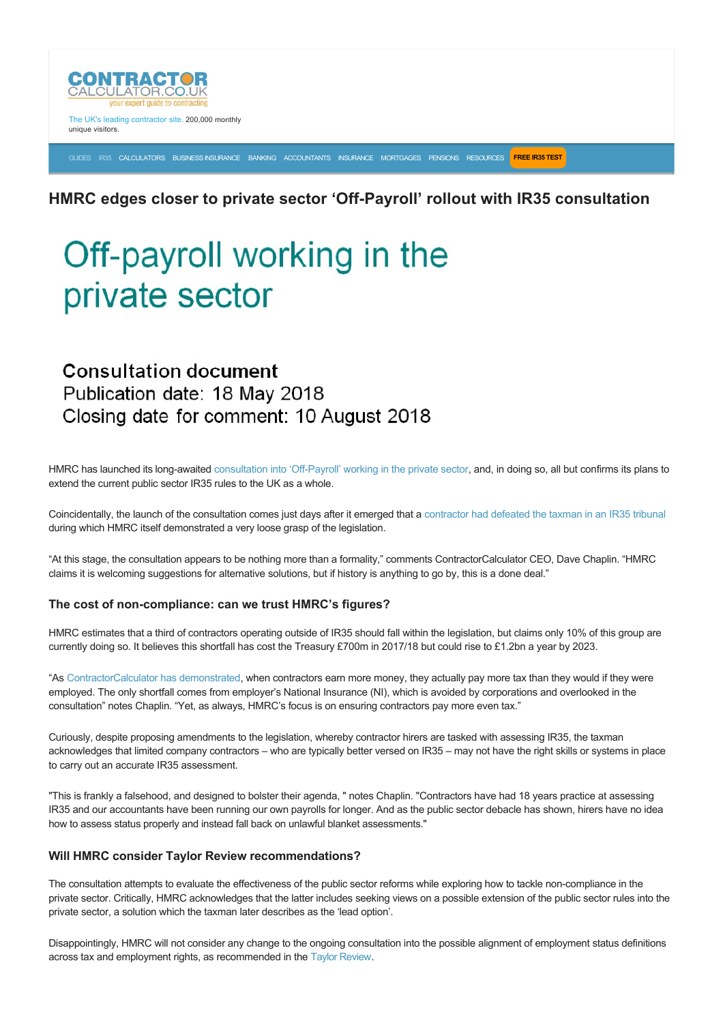

The UK's leading contractor site. 200,000 monthly unique visitors.

[GUIDES](https://www.contractorcalculator.co.uk/articles.aspx) [IR35](https://www.contractorcalculator.co.uk/ir35.aspx) [CALCULATORS](https://www.contractorcalculator.co.uk/calculators.aspx) [BUSINESS INSURANCE](https://www.contractorcalculator.co.uk/contractor_insurances.aspx) [BANKING](https://www.contractorcalculator.co.uk/contractor_banking.aspx) [ACCOUNTANTS](https://www.contractorcalculator.co.uk/contractor_accountant_services.aspx) [INSURANCE](https://www.contractorcalculator.co.uk/insurance.aspx) [MORTGAGES](https://www.contractorcalculator.co.uk/contractor_mortgages.aspx) [PENSIONS](https://www.contractorcalculator.co.uk/contractor_pensions.aspx) [RESOURCES](https://www.contractorcalculator.co.uk/contractor_resources.aspx) **[FREE IR35 TEST](https://www.ir35testing.co.uk/TakeTheTest)**

### **HMRC edges closer to private sector 'Off-Payroll' rollout with IR35 consultation**

# Off-payroll working in the private sector

## **Consultation document** Publication date: 18 May 2018 Closing date for comment: 10 August 2018

HMRC has launched its long-awaited consultation into 'Off-Payroll' working in the private sector, and, in doing so, all but confirms its plans to extend the current public sector IR35 rules to the UK as a whole.

Coincidentally, the launch of the consultation comes just days after it emerged that a [contractor had defeated the taxman in an IR35 tribunal](https://www.contractorcalculator.co.uk/ir35_case_jensal_software_ltd_v_hmrc_full_analysis_540910_news.aspx) during which HMRC itself demonstrated a very loose grasp of the legislation.

"At this stage, the consultation appears to be nothing more than a formality," comments ContractorCalculator CEO, Dave Chaplin. "HMRC claims it is welcoming suggestions for alternative solutions, but if history is anything to go by, this is a done deal."

#### The cost of non-compliance: can we trust HMRC's figures?

HMRC estimates that a third of contractors operating outside of IR35 should fall within the legislation, but claims only 10% of this group are currently doing so. It believes this shortfall has cost the Treasury £700m in 2017/18 but could rise to £1.2bn a year by 2023.

"As [ContractorCalculator has demonstrated,](https://www.contractorcalculator.co.uk/comparing_taxes_contractors_versus_employees.aspx) when contractors earn more money, they actually pay more tax than they would if they were employed. The only shortfall comes from employer's National Insurance (NI), which is avoided by corporations and overlooked in the consultation" notes Chaplin. "Yet, as always, HMRC's focus is on ensuring contractors pay more even tax."

Curiously, despite proposing amendments to the legislation, whereby contractor hirers are tasked with assessing IR35, the taxman acknowledges that limited company contractors – who are typically better versed on IR35 – may not have the right skills or systems in place to carry out an accurate IR35 assessment.

"This is frankly a falsehood, and designed to bolster their agenda, " notes Chaplin. "Contractors have had 18 years practice at assessing IR35 and our accountants have been running our own payrolls for longer. And as the public sector debacle has shown, hirers have no idea how to assess status properly and instead fall back on unlawful blanket assessments."

#### **Will HMRC consider Taylor Review recommendations?**

The consultation attempts to evaluate the effectiveness of the public sector reforms while exploring how to tackle non-compliance in the private sector. Critically, HMRC acknowledges that the latter includes seeking views on a possible extension of the public sector rules into the private sector, a solution which the taxman later describes as the 'lead option'.

Disappointingly, HMRC will not consider any change to the ongoing consultation into the possible alignment of employment status definitions across tax and employment rights, as recommended in the [Taylor Review.](https://www.gov.uk/government/publications/good-work-the-taylor-review-of-modern-working-practices)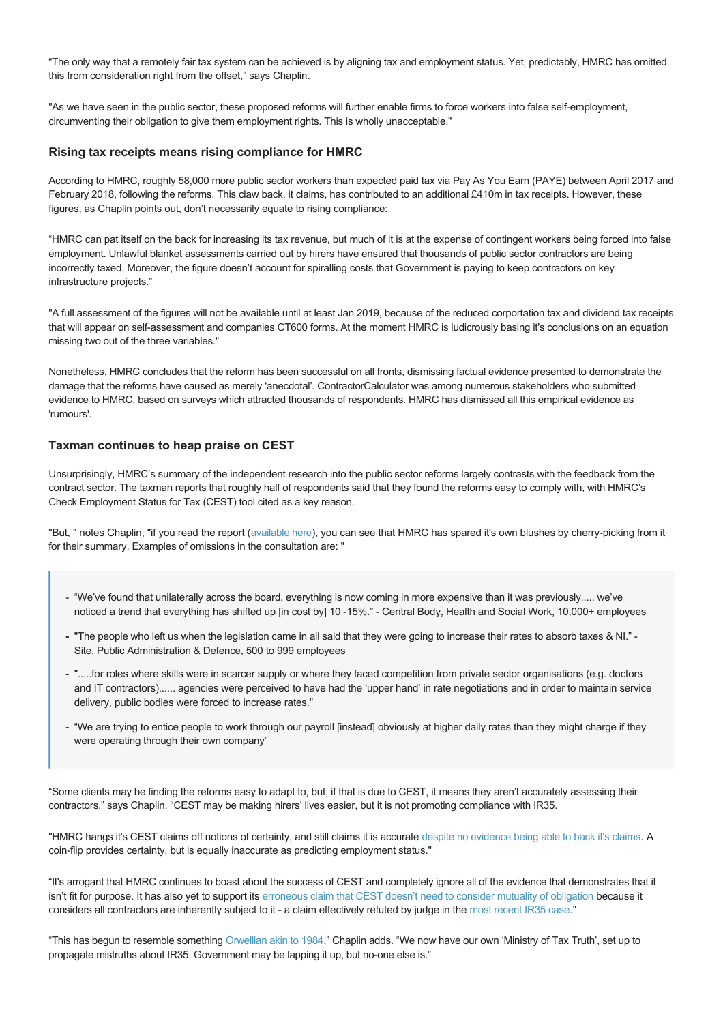"The only way that a remotely fair tax system can be achieved is by aligning tax and employment status. Yet, predictably, HMRC has omitted this from consideration right from the offset," says Chaplin.

"As we have seen in the public sector, these proposed reforms will further enable firms to force workers into false self-employment, circumventing their obligation to give them employment rights. This is wholly unacceptable."

#### **Rising tax receipts means rising compliance for HMRC**

According to HMRC, roughly 58,000 more public sector workers than expected paid tax via Pay As You Earn (PAYE) between April 2017 and February 2018, following the reforms. This claw back, it claims, has contributed to an additional £410m in tax receipts. However, these figures, as Chaplin points out, don't necessarily equate to rising compliance:

"HMRC can pat itself on the back for increasing its tax revenue, but much of it is at the expense of contingent workers being forced into false employment. Unlawful blanket assessments carried out by hirers have ensured that thousands of public sector contractors are being incorrectly taxed. Moreover, the figure doesn't account for spiralling costs that Government is paying to keep contractors on key infrastructure projects."

"A full assessment of the figures will not be available until at least Jan 2019, because of the reduced corportation tax and dividend tax receipts that will appear on self-assessment and companies CT600 forms. At the moment HMRC is ludicrously basing it's conclusions on an equation missing two out of the three variables."

Nonetheless, HMRC concludes that the reform has been successful on all fronts, dismissing factual evidence presented to demonstrate the damage that the reforms have caused as merely 'anecdotal'. ContractorCalculator was among numerous stakeholders who submitted evidence to HMRC, based on surveys which attracted thousands of respondents. HMRC has dismissed all this empirical evidence as 'rumours'.

#### **Taxman continues to heap praise on CEST**

Unsurprisingly, HMRC's summary of the independent research into the public sector reforms largely contrasts with the feedback from the contract sector. The taxman reports that roughly half of respondents said that they found the reforms easy to comply with, with HMRC's Check Employment Status for Tax (CEST) tool cited as a key reason.

"But, " notes Chaplin, "if you read the report [\(available here\)](https://assets.publishing.service.gov.uk/government/uploads/system/uploads/attachment_data/file/704931/Off-Payroll_Reform_in_the_Public_Sector.pdf), you can see that HMRC has spared it's own blushes by cherry-picking from it for their summary. Examples of omissions in the consultation are: "

- "We've found that unilaterally across the board, everything is now coming in more expensive than it was previously..... we've noticed a trend that everything has shifted up [in cost by] 10 -15%." - Central Body, Health and Social Work, 10,000+ employees
- "The people who left us when the legislation came in all said that they were going to increase their rates to absorb taxes & NI." -Site, Public Administration & Defence, 500 to 999 employees
- ".....for roles where skills were in scarcer supply or where they faced competition from private sector organisations (e.g. doctors and IT contractors)...... agencies were perceived to have had the 'upper hand' in rate negotiations and in order to maintain service delivery, public bodies were forced to increase rates."
- "We are trying to entice people to work through our payroll [instead] obviously at higher daily rates than they might charge if they were operating through their own company"

"Some clients may be finding the reforms easy to adapt to, but, if that is due to CEST, it means they aren't accurately assessing their contractors," says Chaplin. "CEST may be making hirers' lives easier, but it is not promoting compliance with IR35.

"HMRC hangs it's CEST claims off notions of certainty, and still claims it is accurate [despite no evidence being able to back it's claims](https://www.contractorcalculator.co.uk/hmrc_holds_detailed_evidence_prove_cest_540010_news.aspx). A coin-flip provides certainty, but is equally inaccurate as predicting employment status."

"It's arrogant that HMRC continues to boast about the success of CEST and completely ignore all of the evidence that demonstrates that it isn't fit for purpose. It has also yet to support its [erroneous claim that CEST doesn't need to consider mutuality of obligation](https://www.contractorcalculator.co.uk/hmrc_wrongly_claiming_all_contractors_caught_moo_539910_news.aspx) because it considers all contractors are inherently subject to it - a claim effectively refuted by judge in the [most recent IR35 case.](https://www.contractorcalculator.co.uk/ir35_case_jensal_software_ltd_v_hmrc_full_analysis_540910_news.aspx)"

"This has begun to resemble something [Orwellian akin to 1984](https://en.wikipedia.org/wiki/Ministries_of_Nineteen_Eighty-Four#Ministry_of_Truth)," Chaplin adds. "We now have our own 'Ministry of Tax Truth', set up to propagate mistruths about IR35. Government may be lapping it up, but no-one else is."